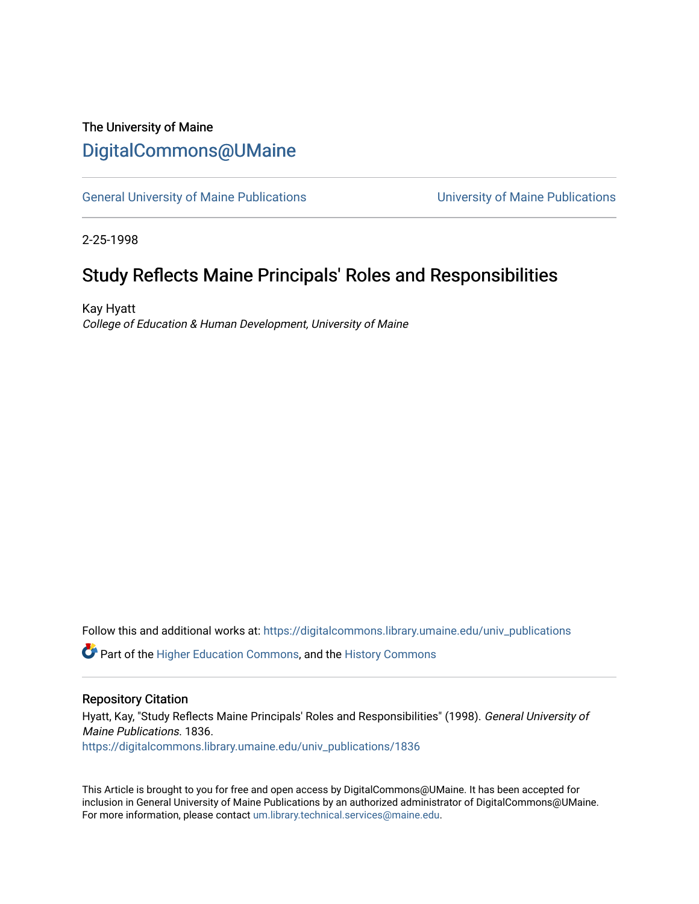## The University of Maine [DigitalCommons@UMaine](https://digitalcommons.library.umaine.edu/)

[General University of Maine Publications](https://digitalcommons.library.umaine.edu/univ_publications) [University of Maine Publications](https://digitalcommons.library.umaine.edu/umaine_publications) 

2-25-1998

## Study Reflects Maine Principals' Roles and Responsibilities

Kay Hyatt College of Education & Human Development, University of Maine

Follow this and additional works at: [https://digitalcommons.library.umaine.edu/univ\\_publications](https://digitalcommons.library.umaine.edu/univ_publications?utm_source=digitalcommons.library.umaine.edu%2Funiv_publications%2F1836&utm_medium=PDF&utm_campaign=PDFCoverPages) 

Part of the [Higher Education Commons,](http://network.bepress.com/hgg/discipline/1245?utm_source=digitalcommons.library.umaine.edu%2Funiv_publications%2F1836&utm_medium=PDF&utm_campaign=PDFCoverPages) and the [History Commons](http://network.bepress.com/hgg/discipline/489?utm_source=digitalcommons.library.umaine.edu%2Funiv_publications%2F1836&utm_medium=PDF&utm_campaign=PDFCoverPages)

#### Repository Citation

Hyatt, Kay, "Study Reflects Maine Principals' Roles and Responsibilities" (1998). General University of Maine Publications. 1836. [https://digitalcommons.library.umaine.edu/univ\\_publications/1836](https://digitalcommons.library.umaine.edu/univ_publications/1836?utm_source=digitalcommons.library.umaine.edu%2Funiv_publications%2F1836&utm_medium=PDF&utm_campaign=PDFCoverPages)

This Article is brought to you for free and open access by DigitalCommons@UMaine. It has been accepted for inclusion in General University of Maine Publications by an authorized administrator of DigitalCommons@UMaine. For more information, please contact [um.library.technical.services@maine.edu](mailto:um.library.technical.services@maine.edu).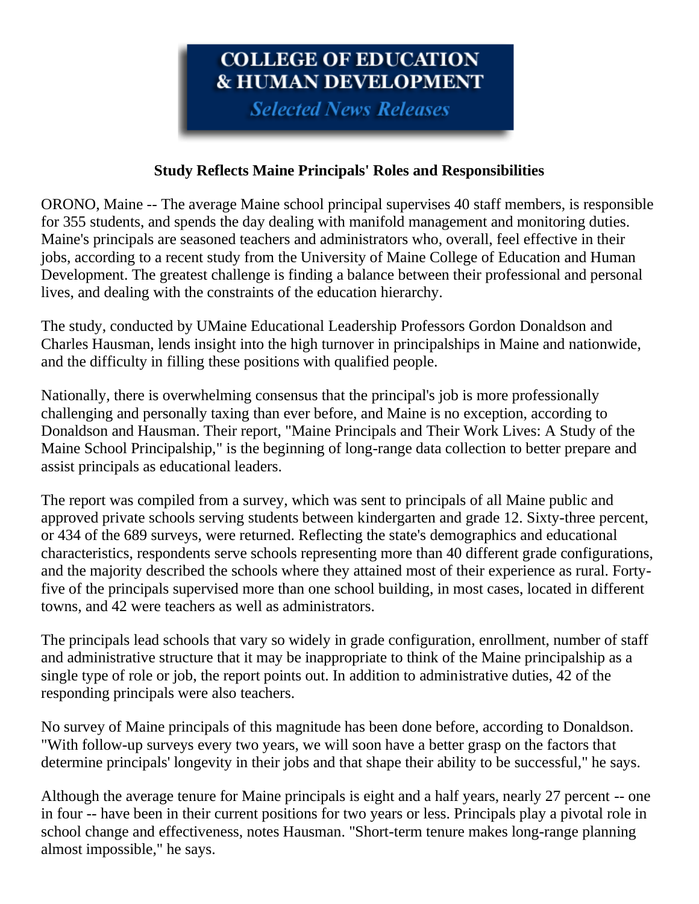# COLLEGE OF EDUCATION **& HUMAN DEVELOPMENT**

**Selected News Releases** 

### **Study Reflects Maine Principals' Roles and Responsibilities**

ORONO, Maine -- The average Maine school principal supervises 40 staff members, is responsible for 355 students, and spends the day dealing with manifold management and monitoring duties. Maine's principals are seasoned teachers and administrators who, overall, feel effective in their jobs, according to a recent study from the University of Maine College of Education and Human Development. The greatest challenge is finding a balance between their professional and personal lives, and dealing with the constraints of the education hierarchy.

The study, conducted by UMaine Educational Leadership Professors Gordon Donaldson and Charles Hausman, lends insight into the high turnover in principalships in Maine and nationwide, and the difficulty in filling these positions with qualified people.

Nationally, there is overwhelming consensus that the principal's job is more professionally challenging and personally taxing than ever before, and Maine is no exception, according to Donaldson and Hausman. Their report, "Maine Principals and Their Work Lives: A Study of the Maine School Principalship," is the beginning of long-range data collection to better prepare and assist principals as educational leaders.

The report was compiled from a survey, which was sent to principals of all Maine public and approved private schools serving students between kindergarten and grade 12. Sixty-three percent, or 434 of the 689 surveys, were returned. Reflecting the state's demographics and educational characteristics, respondents serve schools representing more than 40 different grade configurations, and the majority described the schools where they attained most of their experience as rural. Fortyfive of the principals supervised more than one school building, in most cases, located in different towns, and 42 were teachers as well as administrators.

The principals lead schools that vary so widely in grade configuration, enrollment, number of staff and administrative structure that it may be inappropriate to think of the Maine principalship as a single type of role or job, the report points out. In addition to administrative duties, 42 of the responding principals were also teachers.

No survey of Maine principals of this magnitude has been done before, according to Donaldson. "With follow-up surveys every two years, we will soon have a better grasp on the factors that determine principals' longevity in their jobs and that shape their ability to be successful," he says.

Although the average tenure for Maine principals is eight and a half years, nearly 27 percent -- one in four -- have been in their current positions for two years or less. Principals play a pivotal role in school change and effectiveness, notes Hausman. "Short-term tenure makes long-range planning almost impossible," he says.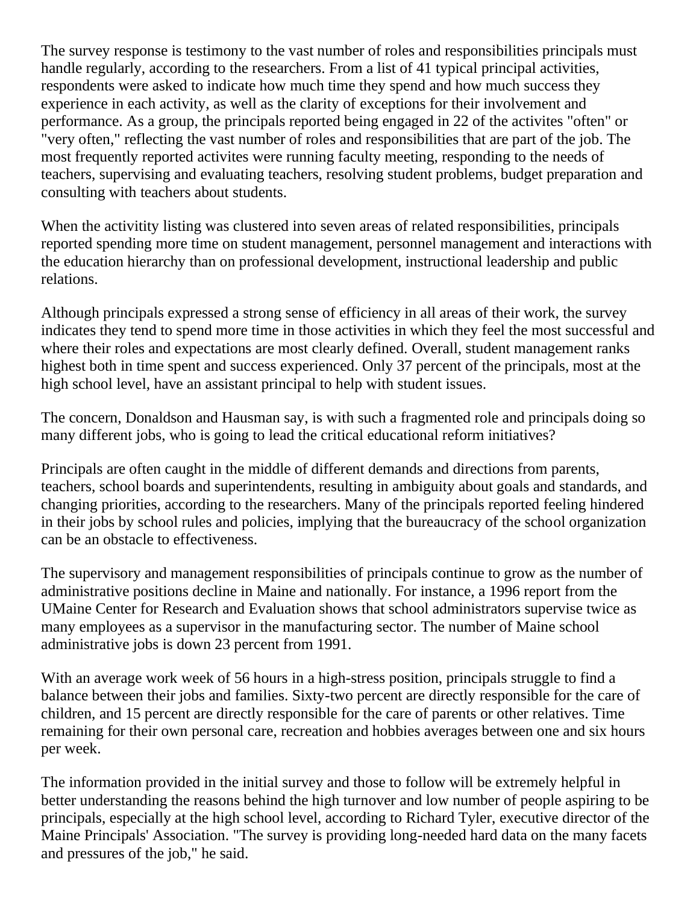The survey response is testimony to the vast number of roles and responsibilities principals must handle regularly, according to the researchers. From a list of 41 typical principal activities, respondents were asked to indicate how much time they spend and how much success they experience in each activity, as well as the clarity of exceptions for their involvement and performance. As a group, the principals reported being engaged in 22 of the activites "often" or "very often," reflecting the vast number of roles and responsibilities that are part of the job. The most frequently reported activites were running faculty meeting, responding to the needs of teachers, supervising and evaluating teachers, resolving student problems, budget preparation and consulting with teachers about students.

When the activitity listing was clustered into seven areas of related responsibilities, principals reported spending more time on student management, personnel management and interactions with the education hierarchy than on professional development, instructional leadership and public relations.

Although principals expressed a strong sense of efficiency in all areas of their work, the survey indicates they tend to spend more time in those activities in which they feel the most successful and where their roles and expectations are most clearly defined. Overall, student management ranks highest both in time spent and success experienced. Only 37 percent of the principals, most at the high school level, have an assistant principal to help with student issues.

The concern, Donaldson and Hausman say, is with such a fragmented role and principals doing so many different jobs, who is going to lead the critical educational reform initiatives?

Principals are often caught in the middle of different demands and directions from parents, teachers, school boards and superintendents, resulting in ambiguity about goals and standards, and changing priorities, according to the researchers. Many of the principals reported feeling hindered in their jobs by school rules and policies, implying that the bureaucracy of the school organization can be an obstacle to effectiveness.

The supervisory and management responsibilities of principals continue to grow as the number of administrative positions decline in Maine and nationally. For instance, a 1996 report from the UMaine Center for Research and Evaluation shows that school administrators supervise twice as many employees as a supervisor in the manufacturing sector. The number of Maine school administrative jobs is down 23 percent from 1991.

With an average work week of 56 hours in a high-stress position, principals struggle to find a balance between their jobs and families. Sixty-two percent are directly responsible for the care of children, and 15 percent are directly responsible for the care of parents or other relatives. Time remaining for their own personal care, recreation and hobbies averages between one and six hours per week.

The information provided in the initial survey and those to follow will be extremely helpful in better understanding the reasons behind the high turnover and low number of people aspiring to be principals, especially at the high school level, according to Richard Tyler, executive director of the Maine Principals' Association. "The survey is providing long-needed hard data on the many facets and pressures of the job," he said.